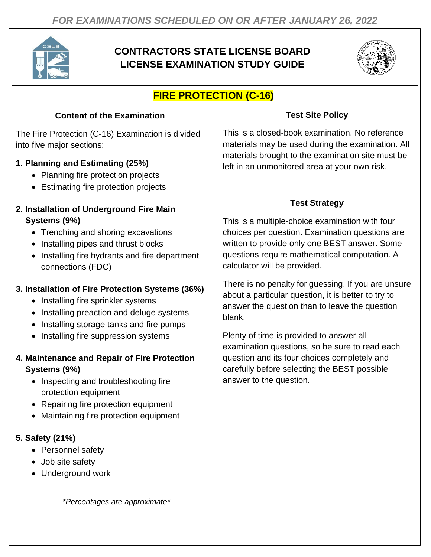

## **CONTRACTORS STATE LICENSE BOARD LICENSE EXAMINATION STUDY GUIDE**



# **FIRE PROTECTION (C-16)**

### **Content of the Examination**

The Fire Protection (C-16) Examination is divided into five major sections:

#### **1. Planning and Estimating (25%)**

- Planning fire protection projects
- Estimating fire protection projects

#### **2. Installation of Underground Fire Main Systems (9%)**

- Trenching and shoring excavations
- Installing pipes and thrust blocks
- Installing fire hydrants and fire department connections (FDC)

#### **3. Installation of Fire Protection Systems (36%)**

- Installing fire sprinkler systems
- Installing preaction and deluge systems
- Installing storage tanks and fire pumps
- Installing fire suppression systems

#### **4. Maintenance and Repair of Fire Protection Systems (9%)**

- Inspecting and troubleshooting fire protection equipment
- Repairing fire protection equipment
- Maintaining fire protection equipment

#### **5. Safety (21%)**

- Personnel safety
- Job site safety
- Underground work

*\*Percentages are approximate\**

#### **Test Site Policy**

This is a closed-book examination. No reference materials may be used during the examination. All materials brought to the examination site must be left in an unmonitored area at your own risk.

### **Test Strategy**

This is a multiple-choice examination with four choices per question. Examination questions are written to provide only one BEST answer. Some questions require mathematical computation. A calculator will be provided.

There is no penalty for guessing. If you are unsure about a particular question, it is better to try to answer the question than to leave the question blank.

Plenty of time is provided to answer all examination questions, so be sure to read each question and its four choices completely and carefully before selecting the BEST possible answer to the question.